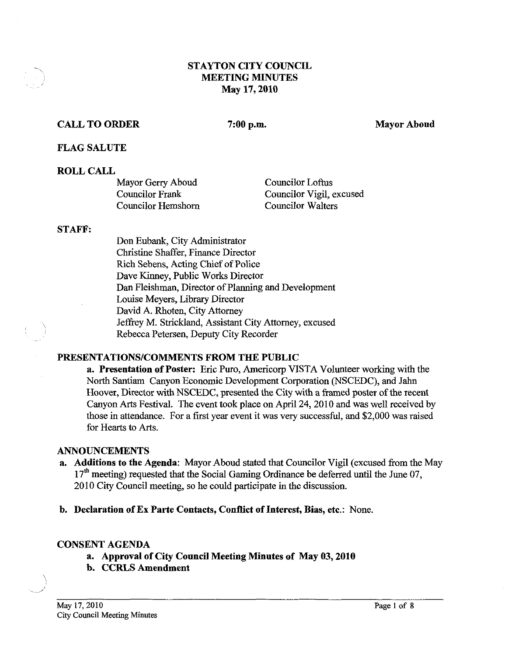## **STAYTON CITY COUNCIL MEETING MINUTES May 17,2010**

## **CALL TO ORDER**

7:00 p.m.

**Mayor Aboud** 

**FLAG SALUTE** 

### **ROLL CALL**

| Mayor Gerry Aboud         | Councilor Loftus         |
|---------------------------|--------------------------|
| Councilor Frank           | Councilor Vigil, excused |
| <b>Councilor Hemshorn</b> | <b>Councilor Walters</b> |

#### **STAFF:**

Don Eubank, City Administrator Christine Shaffer, Finance Director Rich Sebens, Acting Chief of Police Dave Kinney, Public Works Director Dan Fleishman, Director of Planning and Development Louise Meyers, Library Director David A. Rhoten, City Attorney Jeffrey M. Strickland, Assistant City Attorney, excused Rebecca Petersen, Deputy City Recorder

### **PRESENTATIONSICOMMENTS FROM THE PUBLIC**

**a. Presentation of Poster:** Eric Puro, Americorp VISTA Volunteer working with the North Santiam Canyon Economic Development Corporation (NSCEDC), and Jahn Hoover, Director with NSCEDC, presented the City with a fiamed poster of the recent Canyon Arts Festival. The event took place on April 24,2010 and was well received by those in attendance. For a first year event it was very successful, and \$2,000 was raised for Hearts to Arts.

### **ANNOUNCEMENTS**

- **a. Additions to the Agenda:** Mayor Aboud stated that Councilor Vigil (excused from the May  $17<sup>th</sup>$  meeting) requested that the Social Gaming Ordinance be deferred until the June 07, 2010 City Council meeting, so he could participate in the discussion.
- **b. Declaration of Ex Parte Contacts, Conflict of Interest, Bias, etc.:** None.

### **CONSENT AGENDA**

- **a. Approval of City Council Meeting Minutes of May 03,2010**
- **b. CCRLS Amendment**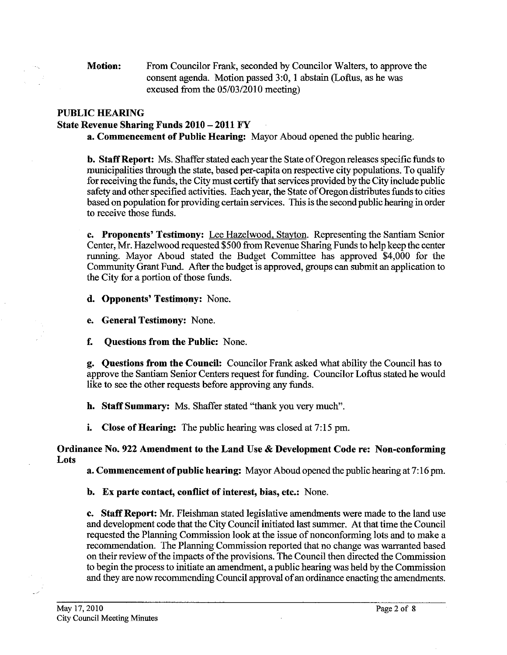**Motion:** From Councilor Frank, seconded by Councilor Walters, to approve the consent agenda. Motion passed 3:0, 1 abstain (Loftus, as he was excused from the 05/03/2010 meeting)

# **PUBLIC HEARING**

### **State Revenue Sharing Funds 2010** - **2011 FY**

**a. Commencement of Public Hearing:** Mayor Aboud opened the public hearing.

**b. Staff Report:** Ms. Shaffer stated each year the State of Oregonreleases specific funds to municipalities through the state, based per-capita on respective city populations. To qualify for receiving the funds, the City must certify that services provided by the City include public safety and other specified activities. Each year, the State of Oregon distributes funds to cities based on population for providing certain services. This is the second public hearing in order to receive those funds.

**c. Proponents' Testimony:** Lee Hazelwood, Stavton. Representing the Santiam Senior Center, Mr. Hazelwood requested \$500 from Revenue Sharing Funds to help keep the center running. Mayor Aboud stated the Budget Committee has approved \$4,000 for the Community Grant Fund. After the budget is approved, groups can submit an application to the City for a portion of those funds.

**d. Opponents' Testimony:** None.

**e. General Testimony:** None.

**f. Questions from the Public:** None.

**g. Questions from the Council:** Councilor Frank asked what ability the Council has to approve the Santiam Senior Centers request for fundmg. Councilor Loftus stated he would like to see the other requests before approving any funds.

**h. Staff Summary:** Ms. Shaffer stated *''thank* you very much".

**i. Close of Hearing:** The public hearing was closed at 7:15 pm.

**Ordinance No. 922 Amendment to the Land Use** & **Development Code re: Non-conforming Lots** 

**a. Commencement of public hearing:** Mayor Aboud opened the public hearing at 7:16 pm.

**b. Ex parte contact, conflict of interest, bias, etc.:** None.

**c.** Staff Report: Mr. Fleishman stated legislative amendments were made to the land use and development code that the City Council initiated last summer. At that time the Council requested the Planning Commission look at the issue of nonconforming lots and to make a recommendation. The Planning Commission reported that no change was warranted based on their review of the impacts of the provisions. The Council then directed the Commission to begin the process to initiate an amendment, apublic hearing was held by the Commission and they are now recommending Council approval of an ordinance enacting the amendments.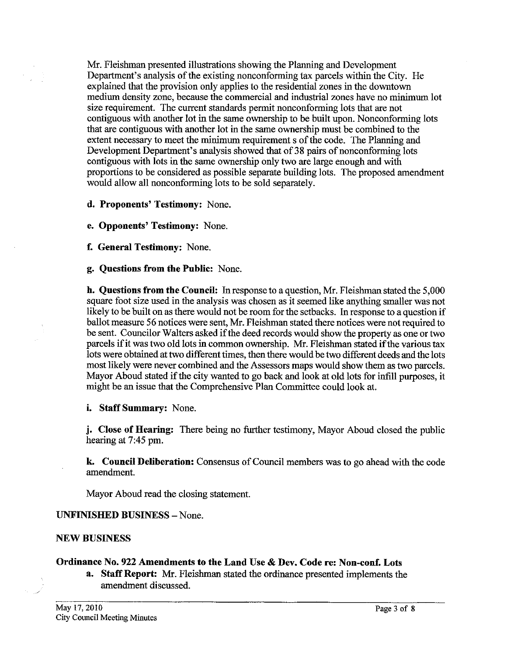Mr. Fleishman presented illustrations showing the Planning and Development Department's analysis of the existing nonconforming tax parcels within the City. He explained that the provision only applies to the residential zones in the downtown medium density zone, because the commercial and industrial zones have no minimum lot size requirement. The current standards permit nonconforming lots that are not contiguous with another lot in the same ownership to be built upon. Nonconforming lots that are contiguous with another lot in the same ownership must be combined to the extent necessary to meet the minimum requirement s of the code. The Planning and Development Department's analysis showed that of **38** pairs of nonconforming lots contiguous with lots in the same ownership only two are large enough and with proportions to be considered as possible separate building lots. The proposed amendment would allow all nonconforming lots to be sold separately.

**d. Proponents' Testimony:** None.

**e. Opponents' Testimony:** None.

**f. General Testimony:** None.

**g. Questions from the Public:** None.

**h. Questions from the Council: In** response to a question, Mr. Fleishman stated the 5,000 square foot size used in the analysis was chosen as it seemed like anything smaller was not likely to be built on as there would not be room for the setbacks. In response to a question if ballot measure 56 notices were sent, Mr. Fleishman stated there notices were not required to be sent. Councilor Walters asked if the deed records would show the property as one or two parcels if it was two old lots in common ownership. Mr. Fleishman stated if the various tax lots were obtained at two different times, then there would be two different deeds and the lots most likely were never combined and the Assessors maps would show them as two parcels. Mayor Aboud stated if the city wanted to go back and look at old lots for infill purposes, it might be an issue that the Comprehensive Plan Committee could look at.

**i. Staff Summary:** None.

**j. Close of Hearing:** There being no further testimony, Mayor Aboud closed the public hearing at 7:45 pm.

**k. Council Deliberation:** Consensus of Council members was to go ahead with the code amendment.

Mayor Aboud read the closing statement.

### **UNFINISHED BUSINESS** - None.

### **NEW BUSINESS**

### **Ordinance No. 922 Amendments to the Land Use** & **Dev. Code re: Non-conf. Lots**

**a. Staff Report:** Mr. Fleishman stated the ordinance presented implements the amendment discussed.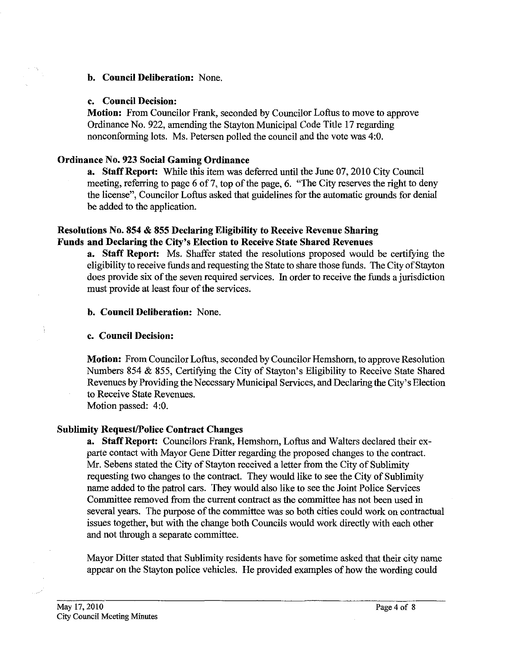### **b. Council Deliberation:** None.

### **c. Council Decision:**

**Motion:** From Councilor Frank, seconded by Councilor Loftus to move to approve Ordinance No. 922, amending the Stayton Municipal Code Title 17 regarding nonconforming lots. Ms. Petersen polled the council and the vote was 4:O.

## **Ordinance No. 923 Social Gaming Ordinance**

**a. Staff Report.** While this item was deferred until the June 07,2010 City Council meeting, referring to page 6 of 7, top of the page, 6. "The City reserves the right to deny the license", Councilor Loftus asked that guidelines for the automatic grounds for denial be added to the application.

# **Resolutions No. 854** & **855 Declaring Eligibility to Receive Revenue Sharing Funds and Declaring the City's Election to Receive State Shared Revenues**

**a. Staff Report:** Ms. Shaffer stated the resolutions proposed would be certifymg the eligibility to receive funds and requesting the State to share those funds. The City of Stayton does provide six of the seven required services. In order to receive the funds a jurisdiction must provide at least four of the services.

## **b. Council Deliberation:** None.

# **c. Council Decision:**

**Motion:** From Councilor Loftus, seconded by Councilor Hemshorn, to approve Resolution Numbers 854 & 855, Certifying the City of Stayton's Eligibility to Receive State Shared Revenues by Providing the Necessary Municipal Services, and Declaring the City's Election to Receive State Revenues.

Motion passed: 4:O.

# **Sublimity Request/Police Contract Changes**

**a. Staff Report:** Councilors Frank, Hemshorn, Loftus and Walters declared their exparte contact with Mayor Gene Ditter regarding the proposed changes to the contract. Mr. Sebens stated the City of Stayton received a letter from the City of Sublimity requesting two changes to the contract. They would like to see the City of Sublimity name added to the patrol cars. They would also like to see the Joint Police Services Committee removed from the current contract as the committee has not been used in several years. The purpose of the committee was so both cities could work on contractual issues together, but with the change both Councils would work directly with each other and not through a separate committee.

Mayor Ditter stated that Sublimity residents have for sometime asked that their city name appear on the Stayton police vehicles. He provided examples of how the wording could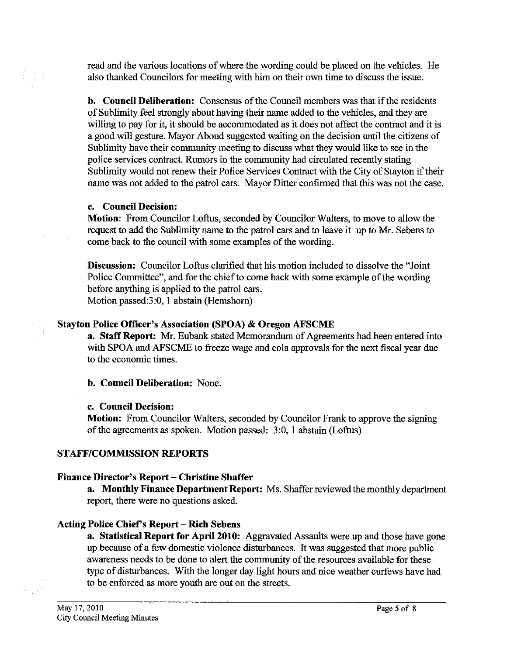read and the various locations of where the wording could be placed on the vehicles. He also thanked Councilors for meeting with him on their own time to discuss the issue.

**b. Council Deliberation:** Consensus of the Council members was that if the residents of Sublimity feel strongly about having their name added to the vehicles, and they are willing to pay for it, it should be accommodated as it does not affect the contract and it is a good will gesture. Mayor Aboud suggested waiting on the decision until the citizens of Sublimity have their community meeting to discuss what they would like to see in the police services contract. Rumors in the community had circulated recently stating Sublimity would not renew their Police Services Contract with the City of Stayton if their name was not added to the patrol cars. Mayor Ditter confirmed that this was not the case.

## **c. Council Decision:**

**Motion:** From Councilor Loftus, seconded bv Councilor Walters. to move to allow the request to add the Sublimity name to the patrol cars and to leave it up to Mr. Sebens to come back to the council with some examples of the wording.

**Discussion:** Councilor Loftus clarified that his motion included to dissolve the "Joint Police Committee", and for the chief to come back with some example of the wording before anything is applied to the patrol cars. Motion passed:3:0, 1 abstain (Hemshorn)

# **Stayton Police Officer's Association (SPOA)** & **Oregon AE'SCME**

**a. Staff Report: Mr.** Eubank stated Memorandum of Agreements had been entered into with SPOA and AFSCME to freeze wage and cola approvals for the next fiscal year due to the economic times.

# **b. Council Deliberation:** None.

# **c. Council Decision:**

**Motion:** From Councilor Walters, seconded by Councilor Frank to approve the signing of the agreements as spoken. Motion passed: 3:0, 1 abstain (Loftus)

# **STAFF/COMMISSION REPORTS**

# Finance Director's Report - Christine Shaffer

**a. Monthly Finance Department Report:** Ms. Shaffer reviewed the monthly department report, there were no questions asked.

# **Acting Police Chiefs Report** - **Rich Sebens**

**a. Statistical Report for April 2010:** Aggravated Assaults were up and those have gone up because of a few domestic violence disturbances. It was suggested that more public awareness needs to be done to alert the community of the resources available for these type of disturbances. With the longer day light hours and nice weather curfews have had to be enforced as more youth are out on the streets.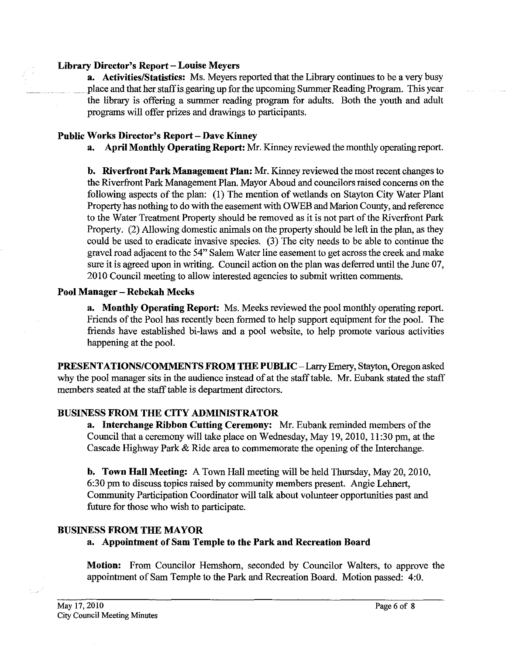#### **Library Director's Report** - **Louise Meyers**

**a.** Activities/Statistics: Ms. Meyers reported that the Library continues to be a very busy place and that her staffis gearing up for the upcoming Summer Reading Program. This year the library is offering a summer reading program for adults. Both the youth and adult programs will offer prizes and drawings to participants.

### Public Works Director's Report - Dave Kinney

**a. April Monthly Operating Report:** Mr. Kinney reviewed the monthly operating report.

**b. Riverfront Park Management Plan: Mr.** Kinney reviewed the most recent changes to the Riverfront Park Management Plan. Mayor Aboud and councilors raised concerns on the following aspects of the plan: (1) The mention of wetlands on Stayton City Water Plant Property has nothing to do with the easement with OWEB and Marion County, and reference to the Water Treatment Property should be removed as it is not part of the Riverfront Park Property. (2) Allowing domestic animals on the property should be left in the plan, as they could be used to eradicate invasive species. (3) The city needs to be able to continue the gravel road adjacent to the 54" Salem Water line easement to get across the creek and make sure it is agreed upon in writing. Council action on the plan was deferred until the June 07, 2010 Council meeting to allow interested agencies to submit written comments.

### **Pool Manager** - **Rebekah Meeks**

**a. Monthly Operating Report:** Ms. Meeks reviewed the pool monthly operating report. Friends of the Pool has recently been formed to help support equipment for the pool. The friends have established bi-laws and a pool website, to help promote various activities happening at the pool.

**PRESENTATIONS/COMMENTS FROM THE PUBLIC - Larry Emery, Stayton, Oregon asked** why the pool manager sits in the audience instead of at the stafftable. Mr. Eubank stated the staff members seated at the staff table is department directors.

# **BUSINESS FROM THE CITY ADMINISTRATOR**

**a. Interchange Ribbon Cutting Ceremony:** Mr. Eubank reminded members of the Council that a ceremony will take place on Wednesday, May 19,2010, 11:30 pm, at the Cascade Highway Park & Ride area to commemorate the opening of the Interchange.

**b. Town Hall Meeting:** A Town Hall meeting will be held Thursday, May 20, 2010, 6:30 pm to discuss topics raised by community members present. Angie Lehnert, Community Participation Coordinator will talk about volunteer opportunities past and future for those who wish to participate.

# **BUSINESS FROM THE MAYOR**

# **a. Appointment of Sam Temple to the Park and Recreation Board**

**Motion:** From Councilor Hemshorn, seconded by Councilor Walters, to approve the appointment of Sam Temple to the Park and Recreation Board. Motion passed: 4:O.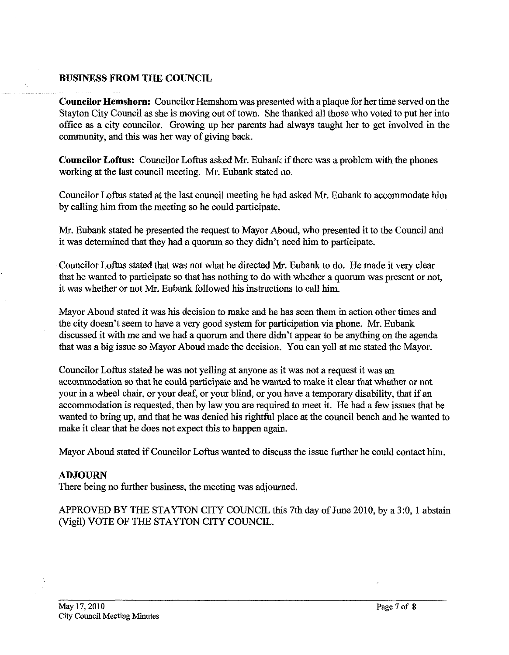### **BUSINESS FROM THE COUNCIL**

**Councilor Hemshorn:** Councilor Hemshom was presented with a plaque for her time served on the Stayton City Council as she is moving out of town. She thanked all those who voted to put her into office as a city councilor. Growing up her parents had always taught her to get involved in the community, and this was her way of giving back.

**Councilor Loftus:** Councilor Loftus asked Mr. Eubank if there was a problem with the phones working at the last council meeting. Mr. Eubank stated no.

Councilor Loftus stated at the last council meeting he had asked Mr. Eubank to accommodate him by calling him from the meeting so he could participate.

Mr. Eubank stated he presented the request to Mayor Aboud, who presented it to the Council and it was determined that they had a quorum so they didn't need him to participate.

Councilor Loftus stated that was not what he directed Mr. Eubank to do. He made it very clear that he wanted to participate so that has nothing to do with whether a quorum was present or not, it was whether or not Mr. Eubank followed his instructions to call him.

Mayor Aboud stated it was his decision to make and he has seen them in action other times and the city doesn't seem to have a very good system for participation via phone. Mr. Eubank discussed it with me and we had a quorum and there didn't appear to be anything on the agenda that was a big issue so Mayor Aboud made the decision. You can yell at me stated the Mayor.

Councilor Loftus stated he was not yelling at anyone as it was not a request it was an accommodation so that he could participate and he wanted to make it clear that whether or not your in a wheel chair, or your deaf, or your blind, or you have a temporary disability, that if an accommodation is requested, then by law you are required to meet it. He had a few issues that he wanted to bring up, and that he was denied his **rightful** place at the council bench and he wanted to make it clear that he does not expect this to happen again.

Mayor Aboud stated if Councilor Loftus wanted to discuss the issue further he could contact him.

### **ADJOURN**

There being no further business, the meeting was adjourned.

APPROVED BY THE STAYTON CITY COUNCIL this 7th day of June 2010, by a 3:0,1 abstain (Vigil) VOTE OF THE STAYTON CITY COUNCIL.